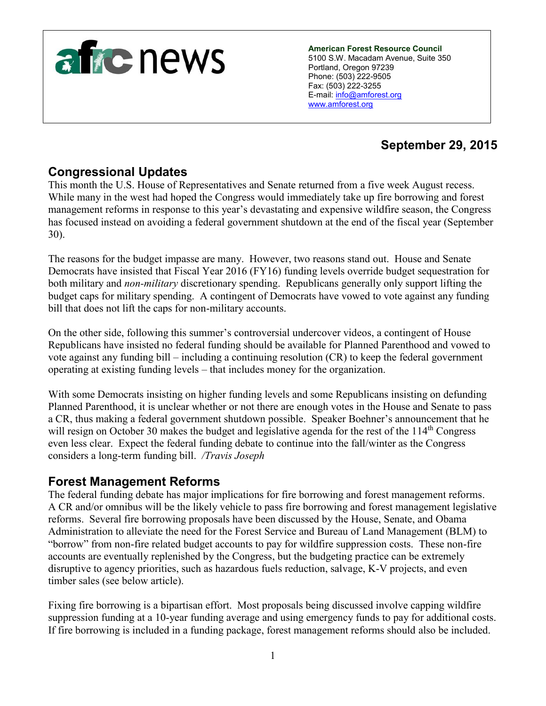

**American Forest Resource Council** 5100 S.W. Macadam Avenue, Suite 350 Portland, Oregon 97239 Phone: (503) 222-9505 Fax: (503) 222-3255 E-mail: [info@amforest.org](mailto:info@amforest.org) [www.amforest.org](http://www.amforest.org/)

# **September 29, 2015**

# **Congressional Updates**

This month the U.S. House of Representatives and Senate returned from a five week August recess. While many in the west had hoped the Congress would immediately take up fire borrowing and forest management reforms in response to this year's devastating and expensive wildfire season, the Congress has focused instead on avoiding a federal government shutdown at the end of the fiscal year (September 30).

The reasons for the budget impasse are many. However, two reasons stand out. House and Senate Democrats have insisted that Fiscal Year 2016 (FY16) funding levels override budget sequestration for both military and *non-military* discretionary spending. Republicans generally only support lifting the budget caps for military spending. A contingent of Democrats have vowed to vote against any funding bill that does not lift the caps for non-military accounts.

On the other side, following this summer's controversial undercover videos, a contingent of House Republicans have insisted no federal funding should be available for Planned Parenthood and vowed to vote against any funding bill – including a continuing resolution (CR) to keep the federal government operating at existing funding levels – that includes money for the organization.

With some Democrats insisting on higher funding levels and some Republicans insisting on defunding Planned Parenthood, it is unclear whether or not there are enough votes in the House and Senate to pass a CR, thus making a federal government shutdown possible. Speaker Boehner's announcement that he will resign on October 30 makes the budget and legislative agenda for the rest of the 114<sup>th</sup> Congress even less clear. Expect the federal funding debate to continue into the fall/winter as the Congress considers a long-term funding bill. */Travis Joseph*

### **Forest Management Reforms**

The federal funding debate has major implications for fire borrowing and forest management reforms. A CR and/or omnibus will be the likely vehicle to pass fire borrowing and forest management legislative reforms. Several fire borrowing proposals have been discussed by the House, Senate, and Obama Administration to alleviate the need for the Forest Service and Bureau of Land Management (BLM) to "borrow" from non-fire related budget accounts to pay for wildfire suppression costs. These non-fire accounts are eventually replenished by the Congress, but the budgeting practice can be extremely disruptive to agency priorities, such as hazardous fuels reduction, salvage, K-V projects, and even timber sales (see below article).

Fixing fire borrowing is a bipartisan effort. Most proposals being discussed involve capping wildfire suppression funding at a 10-year funding average and using emergency funds to pay for additional costs. If fire borrowing is included in a funding package, forest management reforms should also be included.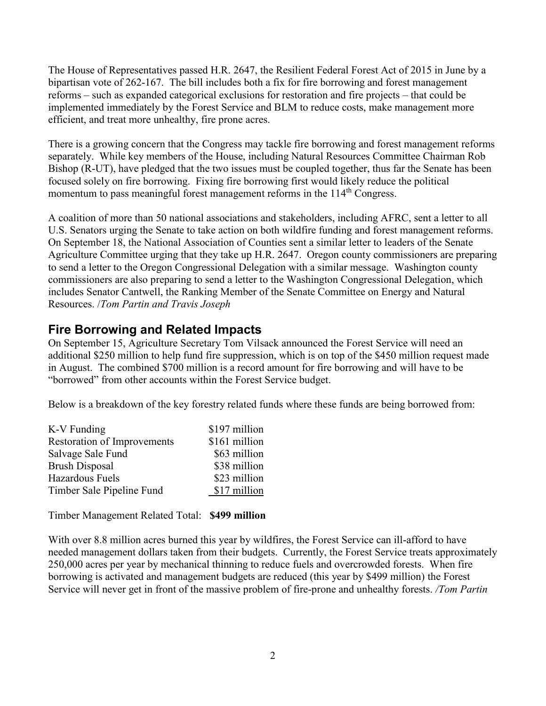The House of Representatives passed H.R. 2647, the Resilient Federal Forest Act of 2015 in June by a bipartisan vote of 262-167. The bill includes both a fix for fire borrowing and forest management reforms – such as expanded categorical exclusions for restoration and fire projects – that could be implemented immediately by the Forest Service and BLM to reduce costs, make management more efficient, and treat more unhealthy, fire prone acres.

There is a growing concern that the Congress may tackle fire borrowing and forest management reforms separately. While key members of the House, including Natural Resources Committee Chairman Rob Bishop (R-UT), have pledged that the two issues must be coupled together, thus far the Senate has been focused solely on fire borrowing. Fixing fire borrowing first would likely reduce the political momentum to pass meaningful forest management reforms in the 114<sup>th</sup> Congress.

A coalition of more than 50 national associations and stakeholders, including AFRC, sent a letter to all U.S. Senators urging the Senate to take action on both wildfire funding and forest management reforms. On September 18, the National Association of Counties sent a similar letter to leaders of the Senate Agriculture Committee urging that they take up H.R. 2647. Oregon county commissioners are preparing to send a letter to the Oregon Congressional Delegation with a similar message. Washington county commissioners are also preparing to send a letter to the Washington Congressional Delegation, which includes Senator Cantwell, the Ranking Member of the Senate Committee on Energy and Natural Resources. /*Tom Partin and Travis Joseph* 

# **Fire Borrowing and Related Impacts**

On September 15, Agriculture Secretary Tom Vilsack announced the Forest Service will need an additional \$250 million to help fund fire suppression, which is on top of the \$450 million request made in August. The combined \$700 million is a record amount for fire borrowing and will have to be "borrowed" from other accounts within the Forest Service budget.

Below is a breakdown of the key forestry related funds where these funds are being borrowed from:

| K-V Funding                 | \$197 million |
|-----------------------------|---------------|
| Restoration of Improvements | \$161 million |
| Salvage Sale Fund           | \$63 million  |
| <b>Brush Disposal</b>       | \$38 million  |
| Hazardous Fuels             | \$23 million  |
| Timber Sale Pipeline Fund   | \$17 million  |

Timber Management Related Total: **\$499 million**

With over 8.8 million acres burned this year by wildfires, the Forest Service can ill-afford to have needed management dollars taken from their budgets. Currently, the Forest Service treats approximately 250,000 acres per year by mechanical thinning to reduce fuels and overcrowded forests. When fire borrowing is activated and management budgets are reduced (this year by \$499 million) the Forest Service will never get in front of the massive problem of fire-prone and unhealthy forests. */Tom Partin*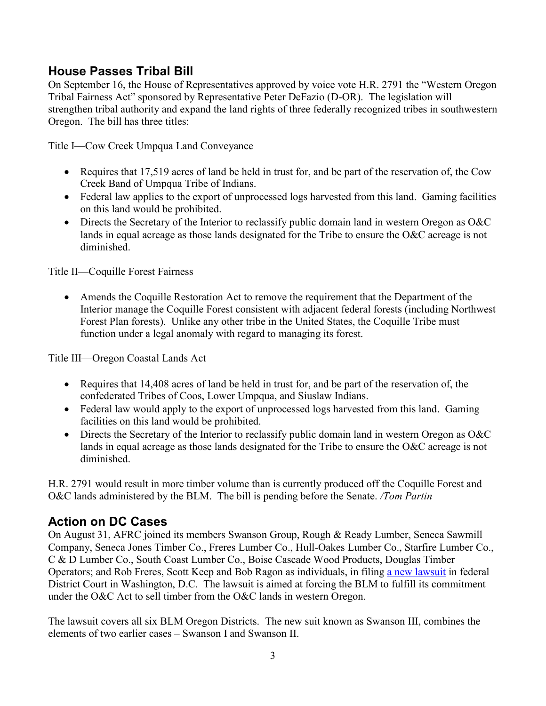## **House Passes Tribal Bill**

On September 16, the House of Representatives approved by voice vote H.R. 2791 the "Western Oregon Tribal Fairness Act" sponsored by Representative Peter DeFazio (D-OR). The legislation will strengthen tribal authority and expand the land rights of three federally recognized tribes in southwestern Oregon. The bill has three titles:

Title I—Cow Creek Umpqua Land Conveyance

- Requires that 17,519 acres of land be held in trust for, and be part of the reservation of, the Cow Creek Band of Umpqua Tribe of Indians.
- Federal law applies to the export of unprocessed logs harvested from this land. Gaming facilities on this land would be prohibited.
- Directs the Secretary of the Interior to reclassify public domain land in western Oregon as O&C lands in equal acreage as those lands designated for the Tribe to ensure the O&C acreage is not diminished.

Title II—Coquille Forest Fairness

 Amends the Coquille Restoration Act to remove the requirement that the Department of the Interior manage the Coquille Forest consistent with adjacent federal forests (including Northwest Forest Plan forests). Unlike any other tribe in the United States, the Coquille Tribe must function under a legal anomaly with regard to managing its forest.

Title III—Oregon Coastal Lands Act

- Requires that 14,408 acres of land be held in trust for, and be part of the reservation of, the confederated Tribes of Coos, Lower Umpqua, and Siuslaw Indians.
- Federal law would apply to the export of unprocessed logs harvested from this land. Gaming facilities on this land would be prohibited.
- Directs the Secretary of the Interior to reclassify public domain land in western Oregon as O&C lands in equal acreage as those lands designated for the Tribe to ensure the O&C acreage is not diminished.

H.R. 2791 would result in more timber volume than is currently produced off the Coquille Forest and O&C lands administered by the BLM. The bill is pending before the Senate. */Tom Partin* 

# **Action on DC Cases**

On August 31, AFRC joined its members Swanson Group, Rough & Ready Lumber, Seneca Sawmill Company, Seneca Jones Timber Co., Freres Lumber Co., Hull-Oakes Lumber Co., Starfire Lumber Co., C & D Lumber Co., South Coast Lumber Co., Boise Cascade Wood Products, Douglas Timber Operators; and Rob Freres, Scott Keep and Bob Ragon as individuals, in filing [a new lawsuit](http://www.amforest.org/images/pdfs/Swanson_III_Complaint.08-31-15.pdf) in federal District Court in Washington, D.C. The lawsuit is aimed at forcing the BLM to fulfill its commitment under the O&C Act to sell timber from the O&C lands in western Oregon.

The lawsuit covers all six BLM Oregon Districts. The new suit known as Swanson III, combines the elements of two earlier cases – Swanson I and Swanson II.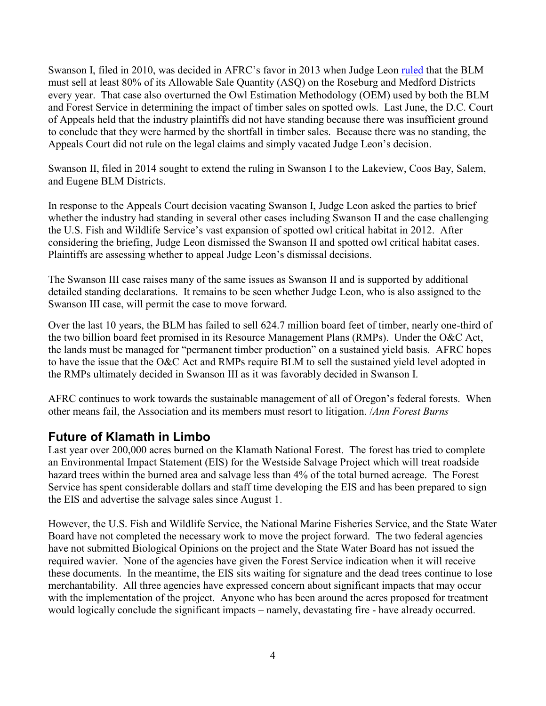Swanson I, filed in 2010, was decided in AFRC's favor in 2013 when Judge Leon [ruled](http://www.amforest.org/images/pdfs/OEM_Opinion_06-26-13.pdf) that the BLM must sell at least 80% of its Allowable Sale Quantity (ASQ) on the Roseburg and Medford Districts every year. That case also overturned the Owl Estimation Methodology (OEM) used by both the BLM and Forest Service in determining the impact of timber sales on spotted owls. Last June, the D.C. Court of Appeals held that the industry plaintiffs did not have standing because there was insufficient ground to conclude that they were harmed by the shortfall in timber sales. Because there was no standing, the Appeals Court did not rule on the legal claims and simply vacated Judge Leon's decision.

Swanson II, filed in 2014 sought to extend the ruling in Swanson I to the Lakeview, Coos Bay, Salem, and Eugene BLM Districts.

In response to the Appeals Court decision vacating Swanson I, Judge Leon asked the parties to brief whether the industry had standing in several other cases including Swanson II and the case challenging the U.S. Fish and Wildlife Service's vast expansion of spotted owl critical habitat in 2012. After considering the briefing, Judge Leon dismissed the Swanson II and spotted owl critical habitat cases. Plaintiffs are assessing whether to appeal Judge Leon's dismissal decisions.

The Swanson III case raises many of the same issues as Swanson II and is supported by additional detailed standing declarations. It remains to be seen whether Judge Leon, who is also assigned to the Swanson III case, will permit the case to move forward.

Over the last 10 years, the BLM has failed to sell 624.7 million board feet of timber, nearly one-third of the two billion board feet promised in its Resource Management Plans (RMPs). Under the O&C Act, the lands must be managed for "permanent timber production" on a sustained yield basis. AFRC hopes to have the issue that the O&C Act and RMPs require BLM to sell the sustained yield level adopted in the RMPs ultimately decided in Swanson III as it was favorably decided in Swanson I.

AFRC continues to work towards the sustainable management of all of Oregon's federal forests. When other means fail, the Association and its members must resort to litigation. /*Ann Forest Burns*

# **Future of Klamath in Limbo**

Last year over 200,000 acres burned on the Klamath National Forest. The forest has tried to complete an Environmental Impact Statement (EIS) for the Westside Salvage Project which will treat roadside hazard trees within the burned area and salvage less than 4% of the total burned acreage. The Forest Service has spent considerable dollars and staff time developing the EIS and has been prepared to sign the EIS and advertise the salvage sales since August 1.

However, the U.S. Fish and Wildlife Service, the National Marine Fisheries Service, and the State Water Board have not completed the necessary work to move the project forward. The two federal agencies have not submitted Biological Opinions on the project and the State Water Board has not issued the required wavier. None of the agencies have given the Forest Service indication when it will receive these documents. In the meantime, the EIS sits waiting for signature and the dead trees continue to lose merchantability. All three agencies have expressed concern about significant impacts that may occur with the implementation of the project. Anyone who has been around the acres proposed for treatment would logically conclude the significant impacts – namely, devastating fire - have already occurred.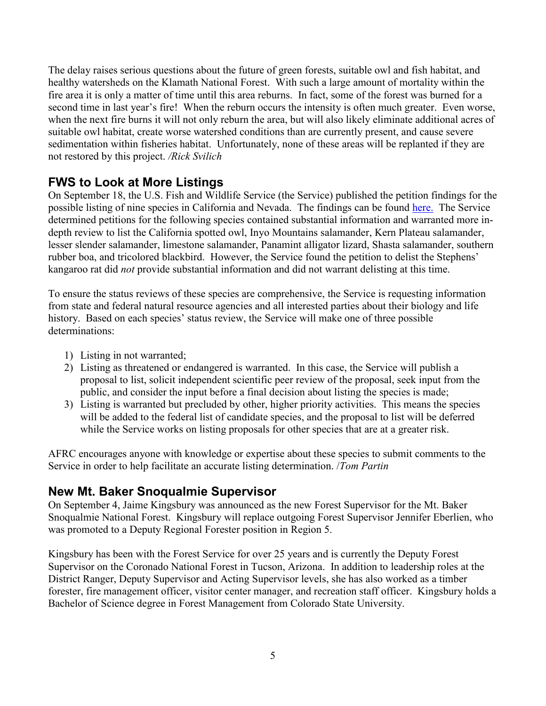The delay raises serious questions about the future of green forests, suitable owl and fish habitat, and healthy watersheds on the Klamath National Forest. With such a large amount of mortality within the fire area it is only a matter of time until this area reburns. In fact, some of the forest was burned for a second time in last year's fire! When the reburn occurs the intensity is often much greater. Even worse, when the next fire burns it will not only reburn the area, but will also likely eliminate additional acres of suitable owl habitat, create worse watershed conditions than are currently present, and cause severe sedimentation within fisheries habitat. Unfortunately, none of these areas will be replanted if they are not restored by this project. */Rick Svilich*

# **FWS to Look at More Listings**

On September 18, the U.S. Fish and Wildlife Service (the Service) published the petition findings for the possible listing of nine species in California and Nevada. The findings can be found [here.](https://www.federalregister.gov/public-inspection) The Service determined petitions for the following species contained substantial information and warranted more indepth review to list the California spotted owl, Inyo Mountains salamander, Kern Plateau salamander, lesser slender salamander, limestone salamander, Panamint alligator lizard, Shasta salamander, southern rubber boa, and tricolored blackbird. However, the Service found the petition to delist the Stephens' kangaroo rat did *not* provide substantial information and did not warrant delisting at this time.

To ensure the status reviews of these species are comprehensive, the Service is requesting information from state and federal natural resource agencies and all interested parties about their biology and life history. Based on each species' status review, the Service will make one of three possible determinations:

- 1) Listing in not warranted;
- 2) Listing as threatened or endangered is warranted. In this case, the Service will publish a proposal to list, solicit independent scientific peer review of the proposal, seek input from the public, and consider the input before a final decision about listing the species is made;
- 3) Listing is warranted but precluded by other, higher priority activities. This means the species will be added to the federal list of candidate species, and the proposal to list will be deferred while the Service works on listing proposals for other species that are at a greater risk.

AFRC encourages anyone with knowledge or expertise about these species to submit comments to the Service in order to help facilitate an accurate listing determination. /*Tom Partin* 

### **New Mt. Baker Snoqualmie Supervisor**

On September 4, Jaime Kingsbury was announced as the new Forest Supervisor for the Mt. Baker Snoqualmie National Forest. Kingsbury will replace outgoing Forest Supervisor Jennifer Eberlien, who was promoted to a Deputy Regional Forester position in Region 5.

Kingsbury has been with the Forest Service for over 25 years and is currently the Deputy Forest Supervisor on the Coronado National Forest in Tucson, Arizona. In addition to leadership roles at the District Ranger, Deputy Supervisor and Acting Supervisor levels, she has also worked as a timber forester, fire management officer, visitor center manager, and recreation staff officer. Kingsbury holds a Bachelor of Science degree in Forest Management from Colorado State University.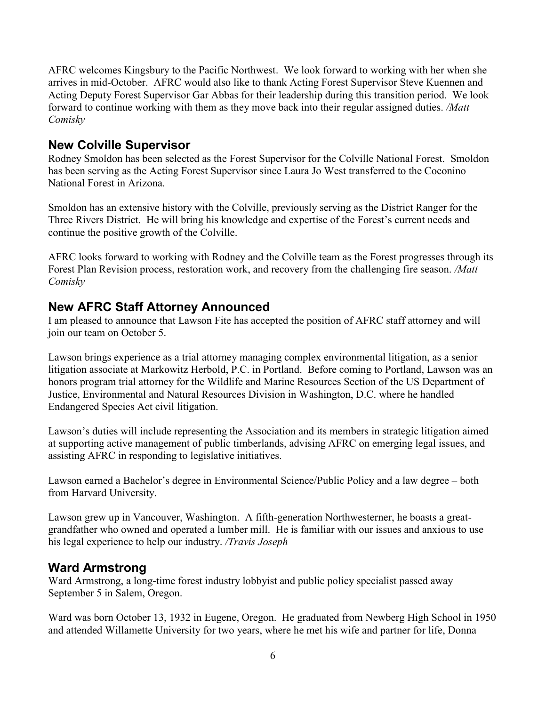AFRC welcomes Kingsbury to the Pacific Northwest. We look forward to working with her when she arrives in mid-October. AFRC would also like to thank Acting Forest Supervisor Steve Kuennen and Acting Deputy Forest Supervisor Gar Abbas for their leadership during this transition period. We look forward to continue working with them as they move back into their regular assigned duties. */Matt Comisky*

### **New Colville Supervisor**

Rodney Smoldon has been selected as the Forest Supervisor for the Colville National Forest. Smoldon has been serving as the Acting Forest Supervisor since Laura Jo West transferred to the Coconino National Forest in Arizona.

Smoldon has an extensive history with the Colville, previously serving as the District Ranger for the Three Rivers District. He will bring his knowledge and expertise of the Forest's current needs and continue the positive growth of the Colville.

AFRC looks forward to working with Rodney and the Colville team as the Forest progresses through its Forest Plan Revision process, restoration work, and recovery from the challenging fire season. */Matt Comisky*

#### **New AFRC Staff Attorney Announced**

I am pleased to announce that Lawson Fite has accepted the position of AFRC staff attorney and will join our team on October 5.

Lawson brings experience as a trial attorney managing complex environmental litigation, as a senior litigation associate at Markowitz Herbold, P.C. in Portland. Before coming to Portland, Lawson was an honors program trial attorney for the Wildlife and Marine Resources Section of the US Department of Justice, Environmental and Natural Resources Division in Washington, D.C. where he handled Endangered Species Act civil litigation.

Lawson's duties will include representing the Association and its members in strategic litigation aimed at supporting active management of public timberlands, advising AFRC on emerging legal issues, and assisting AFRC in responding to legislative initiatives.

Lawson earned a Bachelor's degree in Environmental Science/Public Policy and a law degree – both from Harvard University.

Lawson grew up in Vancouver, Washington. A fifth-generation Northwesterner, he boasts a greatgrandfather who owned and operated a lumber mill. He is familiar with our issues and anxious to use his legal experience to help our industry. */Travis Joseph*

### **Ward Armstrong**

Ward Armstrong, a long-time forest industry lobbyist and public policy specialist passed away September 5 in Salem, Oregon.

Ward was born October 13, 1932 in Eugene, Oregon. He graduated from Newberg High School in 1950 and attended Willamette University for two years, where he met his wife and partner for life, Donna